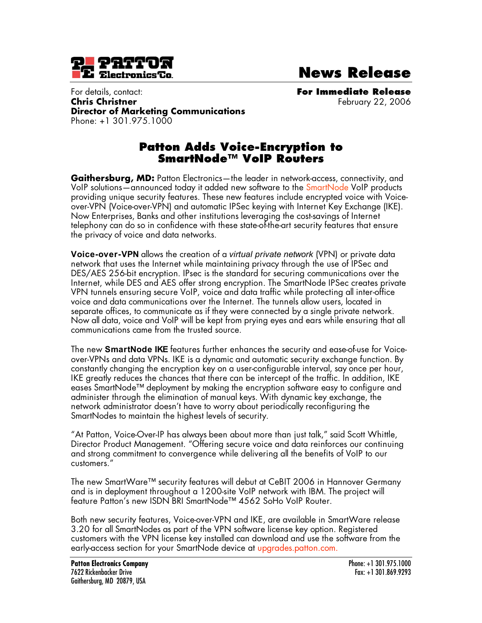

**News Release**

For details, contact: **For Immediate Release Chris Christner** February 22, 2006 **Director of Marketing Communications** Phone: +1 301.975.1000

## **Patton Adds Voice-Encryption to SmartNode™ VoIP Routers**

**Gaithersburg, MD:** Patton Electronics—the leader in network-access, connectivity, and VoIP solutions—announced today it added new software to the SmartNode VoIP products providing unique security features. These new features include encrypted voice with Voiceover-VPN (Voice-over-VPN) and automatic IPSec keying with Internet Key Exchange (IKE). Now Enterprises, Banks and other institutions leveraging the cost-savings of Internet telephony can do so in confidence with these state-of-the-art security features that ensure the privacy of voice and data networks.

**Voice-over-VPN** allows the creation of a *virtual private network* (VPN) or private data network that uses the Internet while maintaining privacy through the use of IPSec and DES/AES 256-bit encryption. IPsec is the standard for securing communications over the Internet, while DES and AES offer strong encryption. The SmartNode IPSec creates private VPN tunnels ensuring secure VoIP, voice and data traffic while protecting all inter-office voice and data communications over the Internet. The tunnels allow users, located in separate offices, to communicate as if they were connected by a single private network. Now all data, voice and VoIP will be kept from prying eyes and ears while ensuring that all communications came from the trusted source.

The new **SmartNode IKE** features further enhances the security and ease-of-use for Voiceover-VPNs and data VPNs. IKE is a dynamic and automatic security exchange function. By constantly changing the encryption key on a user-configurable interval, say once per hour, IKE greatly reduces the chances that there can be intercept of the traffic. In addition, IKE eases SmartNode™ deployment by making the encryption software easy to configure and administer through the elimination of manual keys. With dynamic key exchange, the network administrator doesn't have to worry about periodically reconfiguring the SmartNodes to maintain the highest levels of security.

"At Patton, Voice-Over-IP has always been about more than just talk," said Scott Whittle, Director Product Management. "Offering secure voice and data reinforces our continuing and strong commitment to convergence while delivering all the benefits of VoIP to our customers."

The new SmartWare™ security features will debut at CeBIT 2006 in Hannover Germany and is in deployment throughout a 1200-site VoIP network with IBM. The project will feature Patton's new ISDN BRI SmartNode™ 4562 SoHo VoIP Router.

Both new security features, Voice-over-VPN and IKE, are available in SmartWare release 3.20 for all SmartNodes as part of the VPN software license key option. Registered customers with the VPN license key installed can download and use the software from the early-access section for your SmartNode device at upgrades.patton.com.